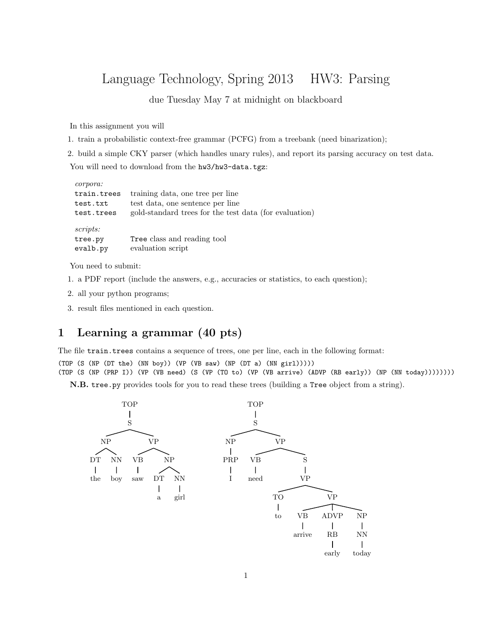## Language Technology, Spring 2013 HW3: Parsing

due Tuesday May 7 at midnight on blackboard

In this assignment you will

1. train a probabilistic context-free grammar (PCFG) from a treebank (need binarization);

2. build a simple CKY parser (which handles unary rules), and report its parsing accuracy on test data.

You will need to download from the hw3/hw3-data.tgz:

| corpora:    |                                                        |
|-------------|--------------------------------------------------------|
| train.trees | training data, one tree per line                       |
| test.txt    | test data, one sentence per line                       |
| test.trees  | gold-standard trees for the test data (for evaluation) |
| scripts:    |                                                        |
| tree.py     | Tree class and reading tool                            |
| evalb.py    | evaluation script                                      |

You need to submit:

- 1. a PDF report (include the answers, e.g., accuracies or statistics, to each question);
- 2. all your python programs;
- 3. result files mentioned in each question.

## 1 Learning a grammar (40 pts)

The file train.trees contains a sequence of trees, one per line, each in the following format:

(TOP (S (NP (DT the) (NN boy)) (VP (VB saw) (NP (DT a) (NN girl)))))

(TOP (S (NP (PRP I)) (VP (VB need) (S (VP (TO to) (VP (VB arrive) (ADVP (RB early)) (NP (NN today))))))))

N.B. tree.py provides tools for you to read these trees (building a Tree object from a string).

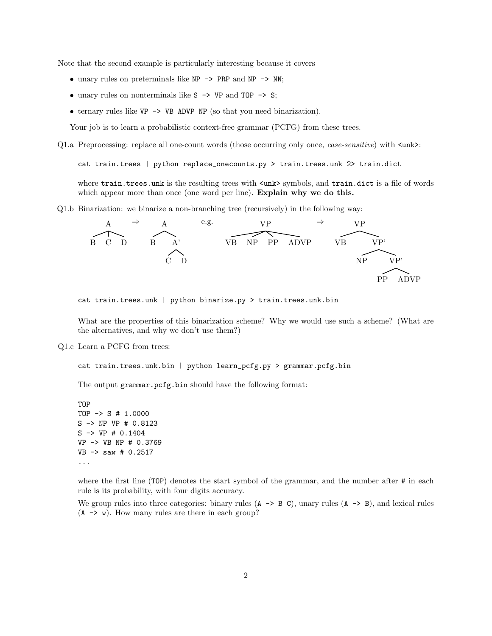Note that the second example is particularly interesting because it covers

- unary rules on preterminals like NP  $\rightarrow$  PRP and NP  $\rightarrow$  NN;
- unary rules on nonterminals like  $S \rightarrow VP$  and TOP  $\rightarrow S$ ;
- ternary rules like VP -> VB ADVP NP (so that you need binarization).

Your job is to learn a probabilistic context-free grammar (PCFG) from these trees.

Q1.a Preprocessing: replace all one-count words (those occurring only once, *case-sensitive*) with  $\langle$ unk>:

cat train.trees | python replace\_onecounts.py > train.trees.unk 2> train.dict

where train.trees.unk is the resulting trees with  $\langle \text{unk} \rangle$  symbols, and train.dict is a file of words which appear more than once (one word per line). **Explain why we do this.** 

Q1.b Binarization: we binarize a non-branching tree (recursively) in the following way:



cat train.trees.unk | python binarize.py > train.trees.unk.bin

What are the properties of this binarization scheme? Why we would use such a scheme? (What are the alternatives, and why we don't use them?)

Q1.c Learn a PCFG from trees:

cat train.trees.unk.bin | python learn\_pcfg.py > grammar.pcfg.bin

The output grammar.pcfg.bin should have the following format:

TOP TOP -> S # 1.0000 S -> NP VP # 0.8123 S -> VP # 0.1404 VP -> VB NP # 0.3769 VB -> saw # 0.2517 ...

where the first line (TOP) denotes the start symbol of the grammar, and the number after  $\#$  in each rule is its probability, with four digits accuracy.

We group rules into three categories: binary rules  $(A \rightarrow B C)$ , unary rules  $(A \rightarrow B)$ , and lexical rules  $(A \rightarrow w)$ . How many rules are there in each group?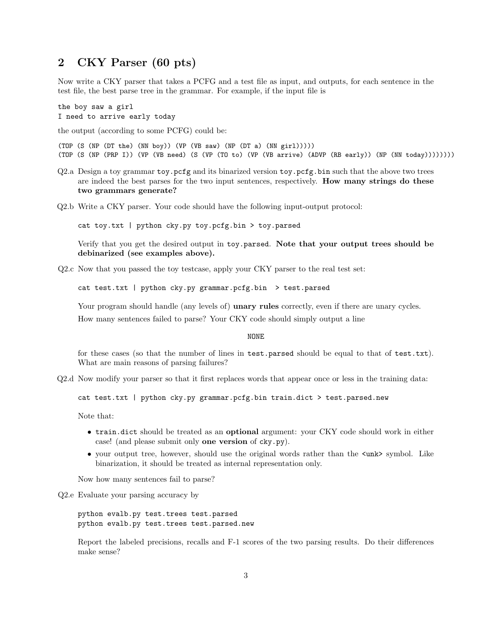## 2 CKY Parser (60 pts)

Now write a CKY parser that takes a PCFG and a test file as input, and outputs, for each sentence in the test file, the best parse tree in the grammar. For example, if the input file is

the boy saw a girl I need to arrive early today

the output (according to some PCFG) could be:

(TOP (S (NP (DT the) (NN boy)) (VP (VB saw) (NP (DT a) (NN girl))))) (TOP (S (NP (PRP I)) (VP (VB need) (S (VP (TO to) (VP (VB arrive) (ADVP (RB early)) (NP (NN today))))))))

- Q2.a Design a toy grammar toy.pcfg and its binarized version toy.pcfg.bin such that the above two trees are indeed the best parses for the two input sentences, respectively. How many strings do these two grammars generate?
- Q2.b Write a CKY parser. Your code should have the following input-output protocol:

cat toy.txt | python cky.py toy.pcfg.bin > toy.parsed

Verify that you get the desired output in toy.parsed. Note that your output trees should be debinarized (see examples above).

Q2.c Now that you passed the toy testcase, apply your CKY parser to the real test set:

cat test.txt | python cky.py grammar.pcfg.bin > test.parsed

Your program should handle (any levels of) **unary rules** correctly, even if there are unary cycles.

How many sentences failed to parse? Your CKY code should simply output a line

NONE

for these cases (so that the number of lines in test.parsed should be equal to that of test.txt). What are main reasons of parsing failures?

Q2.d Now modify your parser so that it first replaces words that appear once or less in the training data:

cat test.txt | python cky.py grammar.pcfg.bin train.dict > test.parsed.new

Note that:

- train.dict should be treated as an optional argument: your CKY code should work in either case! (and please submit only one version of cky.py).
- your output tree, however, should use the original words rather than the  $\langle$ unk> symbol. Like binarization, it should be treated as internal representation only.

Now how many sentences fail to parse?

Q2.e Evaluate your parsing accuracy by

python evalb.py test.trees test.parsed python evalb.py test.trees test.parsed.new

Report the labeled precisions, recalls and F-1 scores of the two parsing results. Do their differences make sense?